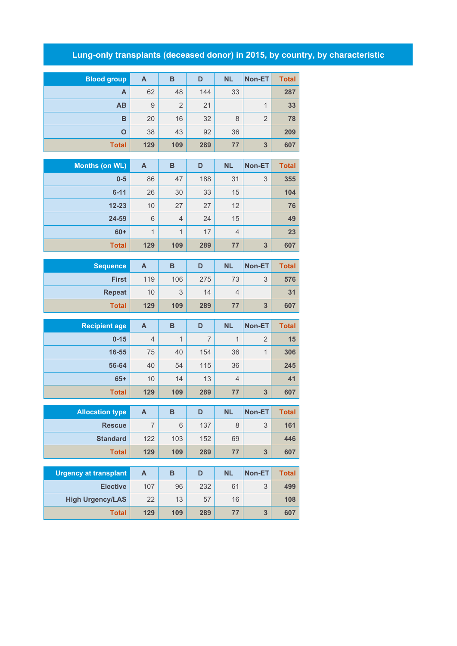## **Lung-only transplants (deceased donor) in 2015, by country, by characteristic**

| <b>Blood group</b> | A   | в              | D   | <b>NL</b> | <b>Non-ET</b>  | <b>Total</b> |
|--------------------|-----|----------------|-----|-----------|----------------|--------------|
| A                  | 62  | 48             | 144 | 33        |                | 287          |
| AB                 | 9   | $\overline{2}$ | 21  |           |                | 33           |
| B                  | 20  | 16             | 32  | 8         | $\overline{2}$ | 78           |
| O                  | 38  | 43             | 92  | 36        |                | 209          |
| <b>Total</b>       | 129 | 109            | 289 | 77        | 3              | 607          |

| Months (on WL) | A   | B              | D   | <b>NL</b>      | Non-ET | <b>Total</b> |
|----------------|-----|----------------|-----|----------------|--------|--------------|
| $0-5$          | 86  | 47             | 188 | 31             | 3      | 355          |
| $6 - 11$       | 26  | 30             | 33  | 15             |        | 104          |
| $12 - 23$      | 10  | 27             | 27  | 12             |        | 76           |
| 24-59          | 6   | $\overline{4}$ | 24  | 15             |        | 49           |
| $60+$          | 1   | 1              | 17  | $\overline{4}$ |        | 23           |
| <b>Total</b>   | 129 | 109            | 289 | 77             | 3      | 607          |

| <b>Sequence</b> | А   | в   | D   | <b>NL</b> | Non-ET            | <b>Total</b> |
|-----------------|-----|-----|-----|-----------|-------------------|--------------|
| <b>First</b>    | 119 | 106 | 275 | 73        | $\mathbf{z}$<br>J | 576          |
| <b>Repeat</b>   | 10  | 3   | 14  | 4         |                   | 31           |
| <b>Total</b>    | 129 | 109 | 289 | 77        | 3                 | 607          |

| <b>Recipient age</b> | A              | B   | D   | <b>NL</b>      | Non-ET | <b>Total</b> |
|----------------------|----------------|-----|-----|----------------|--------|--------------|
| $0 - 15$             | $\overline{4}$ | 1   | 7   | 1              | 2      | 15           |
| 16-55                | 75             | 40  | 154 | 36             |        | 306          |
| 56-64                | 40             | 54  | 115 | 36             |        | 245          |
| $65+$                | 10             | 14  | 13  | $\overline{4}$ |        | 41           |
| <b>Total</b>         | 129            | 109 | 289 | 77             | 3      | 607          |

| <b>Allocation type</b> | А   | в   | D   | <b>NL</b> | <b>Non-ET</b>     | <b>Total</b> |
|------------------------|-----|-----|-----|-----------|-------------------|--------------|
| <b>Rescue</b>          |     | 6   | 137 |           | $\mathbf{z}$<br>J | 161          |
| <b>Standard</b>        | 122 | 103 | 152 | 69        |                   | 446          |
| <b>Total</b>           | 129 | 109 | 289 | 77        | 3                 | 607          |

| <b>Urgency at transplant</b> | А   | в   | D   | <b>NL</b> | <b>Non-ET</b> | <b>Total</b> |
|------------------------------|-----|-----|-----|-----------|---------------|--------------|
| <b>Elective</b>              | 107 | 96  | 232 | 61        | 2             | 499          |
| <b>High Urgency/LAS</b>      | 22  | 13  | 57  | 16        |               | 108          |
| Total                        | 129 | 109 | 289 | 77        | 2             | 607          |